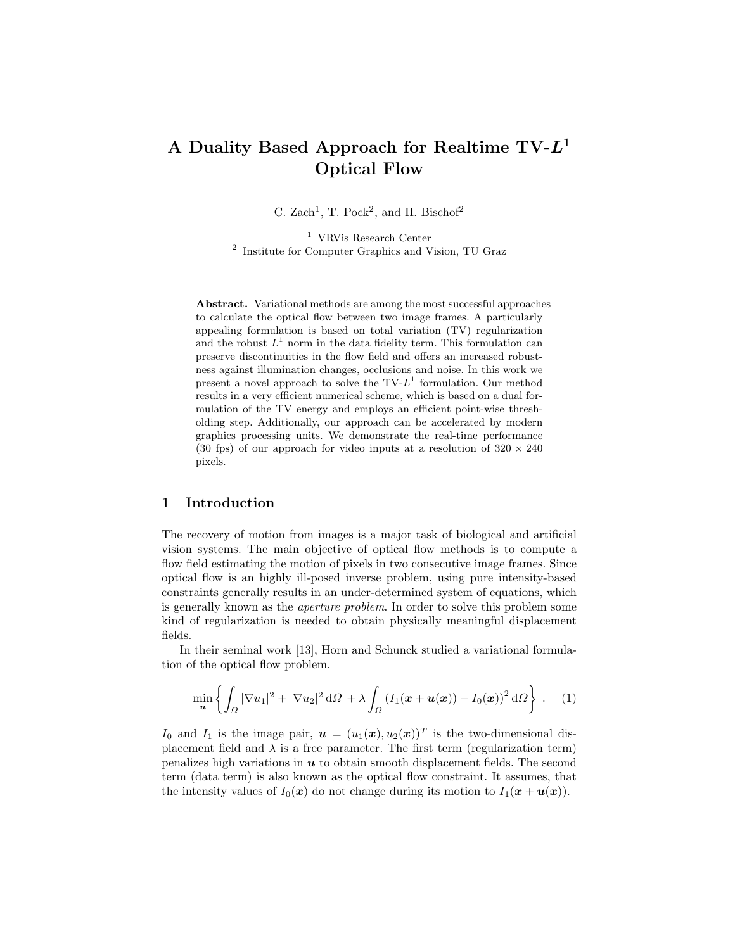# A Duality Based Approach for Realtime  $TV-L^1$ Optical Flow

C. Zach<sup>1</sup>, T. Pock<sup>2</sup>, and H. Bischof<sup>2</sup>

<sup>1</sup> VRVis Research Center 2 Institute for Computer Graphics and Vision, TU Graz

Abstract. Variational methods are among the most successful approaches to calculate the optical flow between two image frames. A particularly appealing formulation is based on total variation (TV) regularization and the robust  $L^1$  norm in the data fidelity term. This formulation can preserve discontinuities in the flow field and offers an increased robustness against illumination changes, occlusions and noise. In this work we present a novel approach to solve the  $TV-L^1$  formulation. Our method results in a very efficient numerical scheme, which is based on a dual formulation of the TV energy and employs an efficient point-wise thresholding step. Additionally, our approach can be accelerated by modern graphics processing units. We demonstrate the real-time performance (30 fps) of our approach for video inputs at a resolution of  $320 \times 240$ pixels.

# 1 Introduction

The recovery of motion from images is a major task of biological and artificial vision systems. The main objective of optical flow methods is to compute a flow field estimating the motion of pixels in two consecutive image frames. Since optical flow is an highly ill-posed inverse problem, using pure intensity-based constraints generally results in an under-determined system of equations, which is generally known as the aperture problem. In order to solve this problem some kind of regularization is needed to obtain physically meaningful displacement fields.

In their seminal work [13], Horn and Schunck studied a variational formulation of the optical flow problem.

$$
\min_{\boldsymbol{u}} \left\{ \int_{\Omega} |\nabla u_1|^2 + |\nabla u_2|^2 \, d\Omega + \lambda \int_{\Omega} \left( I_1(\boldsymbol{x} + \boldsymbol{u}(\boldsymbol{x})) - I_0(\boldsymbol{x}) \right)^2 \, d\Omega \right\} \ . \tag{1}
$$

 $I_0$  and  $I_1$  is the image pair,  $\boldsymbol{u} = (u_1(\boldsymbol{x}), u_2(\boldsymbol{x}))^T$  is the two-dimensional displacement field and  $\lambda$  is a free parameter. The first term (regularization term) penalizes high variations in  $\boldsymbol{u}$  to obtain smooth displacement fields. The second term (data term) is also known as the optical flow constraint. It assumes, that the intensity values of  $I_0(x)$  do not change during its motion to  $I_1(x + u(x))$ .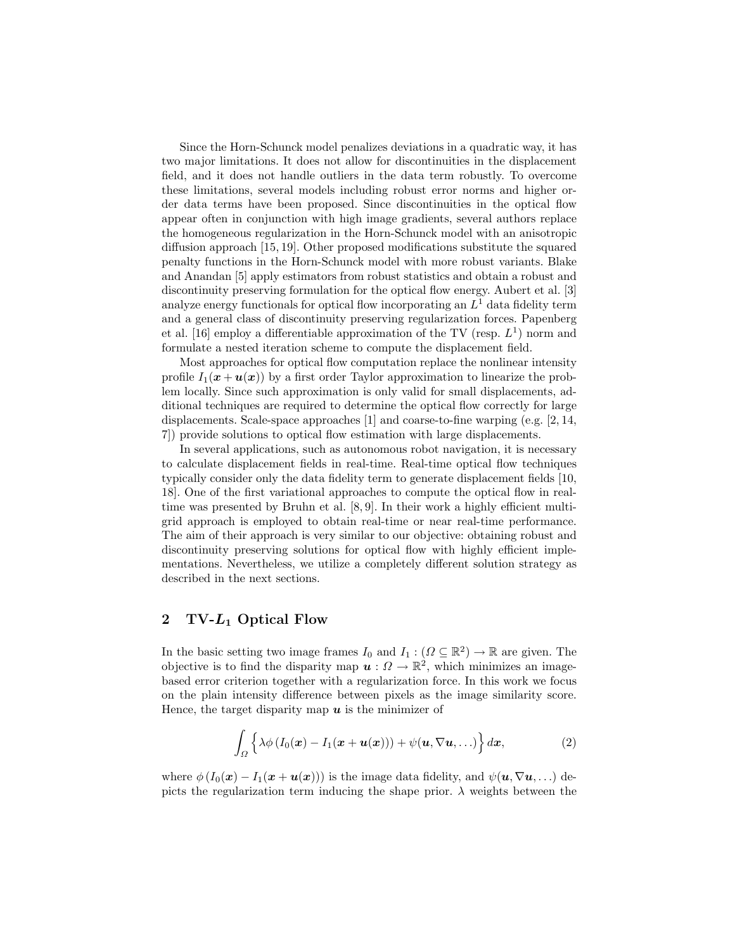Since the Horn-Schunck model penalizes deviations in a quadratic way, it has two major limitations. It does not allow for discontinuities in the displacement field, and it does not handle outliers in the data term robustly. To overcome these limitations, several models including robust error norms and higher order data terms have been proposed. Since discontinuities in the optical flow appear often in conjunction with high image gradients, several authors replace the homogeneous regularization in the Horn-Schunck model with an anisotropic diffusion approach [15, 19]. Other proposed modifications substitute the squared penalty functions in the Horn-Schunck model with more robust variants. Blake and Anandan [5] apply estimators from robust statistics and obtain a robust and discontinuity preserving formulation for the optical flow energy. Aubert et al. [3] analyze energy functionals for optical flow incorporating an  $L<sup>1</sup>$  data fidelity term and a general class of discontinuity preserving regularization forces. Papenberg et al. [16] employ a differentiable approximation of the TV (resp.  $L^1$ ) norm and formulate a nested iteration scheme to compute the displacement field.

Most approaches for optical flow computation replace the nonlinear intensity profile  $I_1(x + u(x))$  by a first order Taylor approximation to linearize the problem locally. Since such approximation is only valid for small displacements, additional techniques are required to determine the optical flow correctly for large displacements. Scale-space approaches [1] and coarse-to-fine warping (e.g. [2, 14, 7]) provide solutions to optical flow estimation with large displacements.

In several applications, such as autonomous robot navigation, it is necessary to calculate displacement fields in real-time. Real-time optical flow techniques typically consider only the data fidelity term to generate displacement fields [10, 18]. One of the first variational approaches to compute the optical flow in realtime was presented by Bruhn et al. [8, 9]. In their work a highly efficient multigrid approach is employed to obtain real-time or near real-time performance. The aim of their approach is very similar to our objective: obtaining robust and discontinuity preserving solutions for optical flow with highly efficient implementations. Nevertheless, we utilize a completely different solution strategy as described in the next sections.

# 2 TV-L<sup>1</sup> Optical Flow

In the basic setting two image frames  $I_0$  and  $I_1 : (\Omega \subseteq \mathbb{R}^2) \to \mathbb{R}$  are given. The objective is to find the disparity map  $u: \Omega \to \mathbb{R}^2$ , which minimizes an imagebased error criterion together with a regularization force. In this work we focus on the plain intensity difference between pixels as the image similarity score. Hence, the target disparity map  $u$  is the minimizer of

$$
\int_{\Omega} \left\{ \lambda \phi \left( I_0(\boldsymbol{x}) - I_1(\boldsymbol{x} + \boldsymbol{u}(\boldsymbol{x})) \right) + \psi(\boldsymbol{u}, \nabla \boldsymbol{u}, \ldots) \right\} d\boldsymbol{x}, \tag{2}
$$

where  $\phi(I_0(\boldsymbol{x}) - I_1(\boldsymbol{x} + \boldsymbol{u}(\boldsymbol{x})))$  is the image data fidelity, and  $\psi(\boldsymbol{u}, \nabla \boldsymbol{u}, ...)$  depicts the regularization term inducing the shape prior.  $\lambda$  weights between the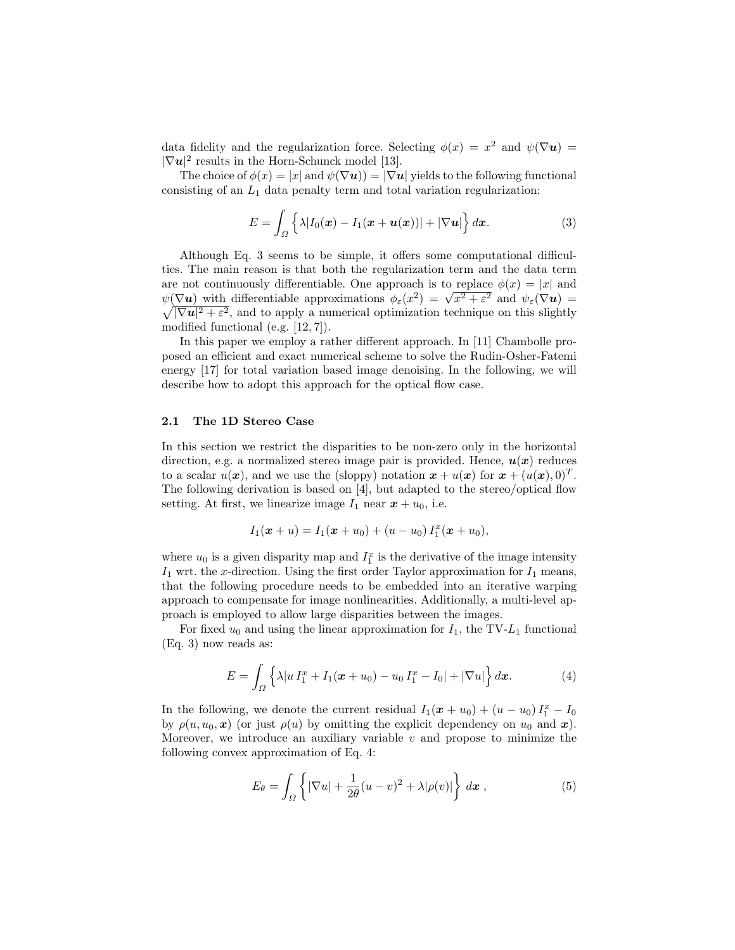data fidelity and the regularization force. Selecting  $\phi(x) = x^2$  and  $\psi(\nabla u) =$  $|\nabla u|^2$  results in the Horn-Schunck model [13].

The choice of  $\phi(x) = |x|$  and  $\psi(\nabla u) = |\nabla u|$  yields to the following functional consisting of an  $L_1$  data penalty term and total variation regularization:

$$
E = \int_{\Omega} \left\{ \lambda |I_0(\boldsymbol{x}) - I_1(\boldsymbol{x} + \boldsymbol{u}(\boldsymbol{x}))| + |\nabla \boldsymbol{u}| \right\} d\boldsymbol{x}.
$$
 (3)

Although Eq. 3 seems to be simple, it offers some computational difficulties. The main reason is that both the regularization term and the data term are not continuously differentiable. One approach is to replace  $\phi(x) = |x|$  and are not continuously differentiable. One approach is to replace  $\varphi(x) = |x|$  and  $\psi(\nabla u)$  with differentiable approximations  $\phi_{\varepsilon}(x^2) = \sqrt{x^2 + \varepsilon^2}$  and  $\psi_{\varepsilon}(\nabla u) =$  $\sqrt{|\nabla u|^2 + \varepsilon^2}$ , and to apply a numerical optimization technique on this slightly modified functional (e.g. [12, 7]).

In this paper we employ a rather different approach. In [11] Chambolle proposed an efficient and exact numerical scheme to solve the Rudin-Osher-Fatemi energy [17] for total variation based image denoising. In the following, we will describe how to adopt this approach for the optical flow case.

#### 2.1 The 1D Stereo Case

In this section we restrict the disparities to be non-zero only in the horizontal direction, e.g. a normalized stereo image pair is provided. Hence,  $u(x)$  reduces to a scalar  $u(x)$ , and we use the (sloppy) notation  $x + u(x)$  for  $x + (u(x), 0)^T$ . The following derivation is based on [4], but adapted to the stereo/optical flow setting. At first, we linearize image  $I_1$  near  $x + u_0$ , i.e.

$$
I_1(\boldsymbol{x} + u) = I_1(\boldsymbol{x} + u_0) + (u - u_0) I_1^x(\boldsymbol{x} + u_0),
$$

where  $u_0$  is a given disparity map and  $I_1^x$  is the derivative of the image intensity  $I_1$  wrt. the x-direction. Using the first order Taylor approximation for  $I_1$  means, that the following procedure needs to be embedded into an iterative warping approach to compensate for image nonlinearities. Additionally, a multi-level approach is employed to allow large disparities between the images.

For fixed  $u_0$  and using the linear approximation for  $I_1$ , the TV- $L_1$  functional (Eq. 3) now reads as:

$$
E = \int_{\Omega} \left\{ \lambda | u I_1^x + I_1(\boldsymbol{x} + u_0) - u_0 I_1^x - I_0 | + |\nabla u| \right\} d\boldsymbol{x}.
$$
 (4)

In the following, we denote the current residual  $I_1(\boldsymbol{x} + u_0) + (u - u_0)I_1^{\boldsymbol{x}} - I_0$ by  $\rho(u, u_0, x)$  (or just  $\rho(u)$  by omitting the explicit dependency on  $u_0$  and  $x$ ). Moreover, we introduce an auxiliary variable  $v$  and propose to minimize the following convex approximation of Eq. 4:

$$
E_{\theta} = \int_{\Omega} \left\{ |\nabla u| + \frac{1}{2\theta} (u - v)^2 + \lambda |\rho(v)| \right\} dx , \qquad (5)
$$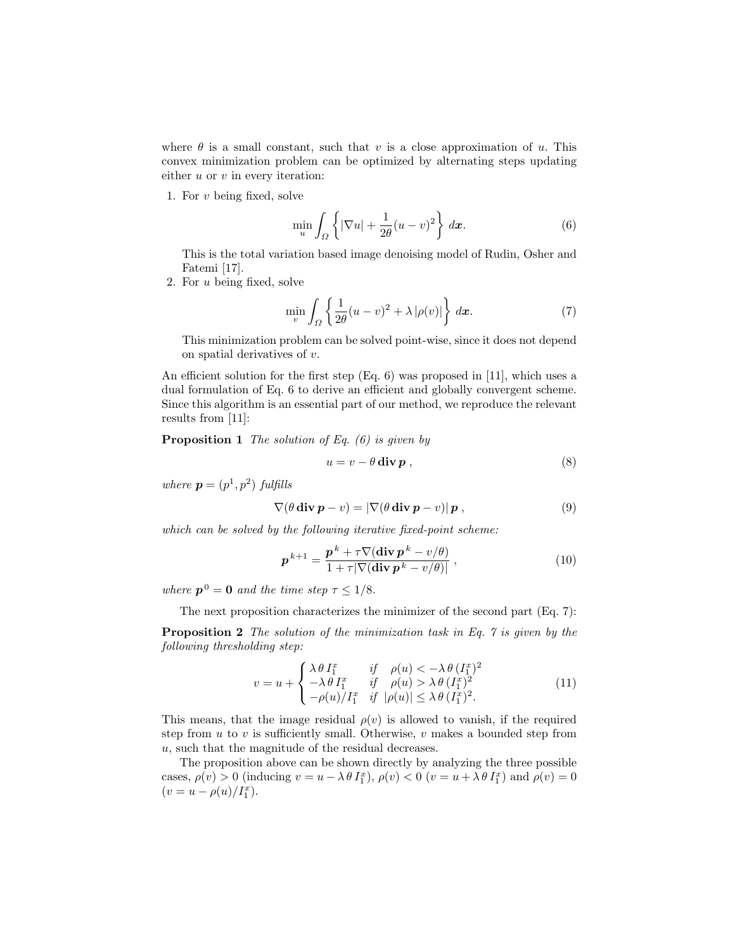where  $\theta$  is a small constant, such that v is a close approximation of u. This convex minimization problem can be optimized by alternating steps updating either  $u$  or  $v$  in every iteration:

1. For v being fixed, solve

$$
\min_{u} \int_{\Omega} \left\{ |\nabla u| + \frac{1}{2\theta} (u - v)^2 \right\} dx.
$$
 (6)

This is the total variation based image denoising model of Rudin, Osher and Fatemi [17].

2. For u being fixed, solve

$$
\min_{v} \int_{\Omega} \left\{ \frac{1}{2\theta} (u - v)^2 + \lambda |\rho(v)| \right\} dx.
$$
 (7)

This minimization problem can be solved point-wise, since it does not depend on spatial derivatives of v.

An efficient solution for the first step (Eq. 6) was proposed in [11], which uses a dual formulation of Eq. 6 to derive an efficient and globally convergent scheme. Since this algorithm is an essential part of our method, we reproduce the relevant results from [11]:

**Proposition 1** The solution of Eq.  $(6)$  is given by

$$
u = v - \theta \operatorname{div} \mathbf{p} \,, \tag{8}
$$

where  $\mathbf{p} = (p^1, p^2)$  fulfills

$$
\nabla(\theta \operatorname{div} \boldsymbol{p} - v) = |\nabla(\theta \operatorname{div} \boldsymbol{p} - v)| \boldsymbol{p}, \qquad (9)
$$

which can be solved by the following iterative fixed-point scheme:

$$
\boldsymbol{p}^{k+1} = \frac{\boldsymbol{p}^k + \tau \nabla (\operatorname{div} \boldsymbol{p}^k - v/\theta)}{1 + \tau |\nabla (\operatorname{div} \boldsymbol{p}^k - v/\theta)|},
$$
\n(10)

where  $p^0 = 0$  and the time step  $\tau \leq 1/8$ .

The next proposition characterizes the minimizer of the second part (Eq. 7):

Proposition 2 The solution of the minimization task in Eq. 7 is given by the following thresholding step:

$$
v = u + \begin{cases} \lambda \theta I_1^x & \text{if } \rho(u) < -\lambda \theta (I_1^x)^2 \\ -\lambda \theta I_1^x & \text{if } \rho(u) > \lambda \theta (I_1^x)^2 \\ -\rho(u)/I_1^x & \text{if } |\rho(u)| \le \lambda \theta (I_1^x)^2. \end{cases}
$$
(11)

This means, that the image residual  $\rho(v)$  is allowed to vanish, if the required step from  $u$  to  $v$  is sufficiently small. Otherwise,  $v$  makes a bounded step from u, such that the magnitude of the residual decreases.

The proposition above can be shown directly by analyzing the three possible cases,  $\rho(v) > 0$  (inducing  $v = u - \lambda \theta I_1^x$ ),  $\rho(v) < 0$  ( $v = u + \lambda \theta I_1^x$ ) and  $\rho(v) = 0$  $(v = u - \rho(u)/I_1^x).$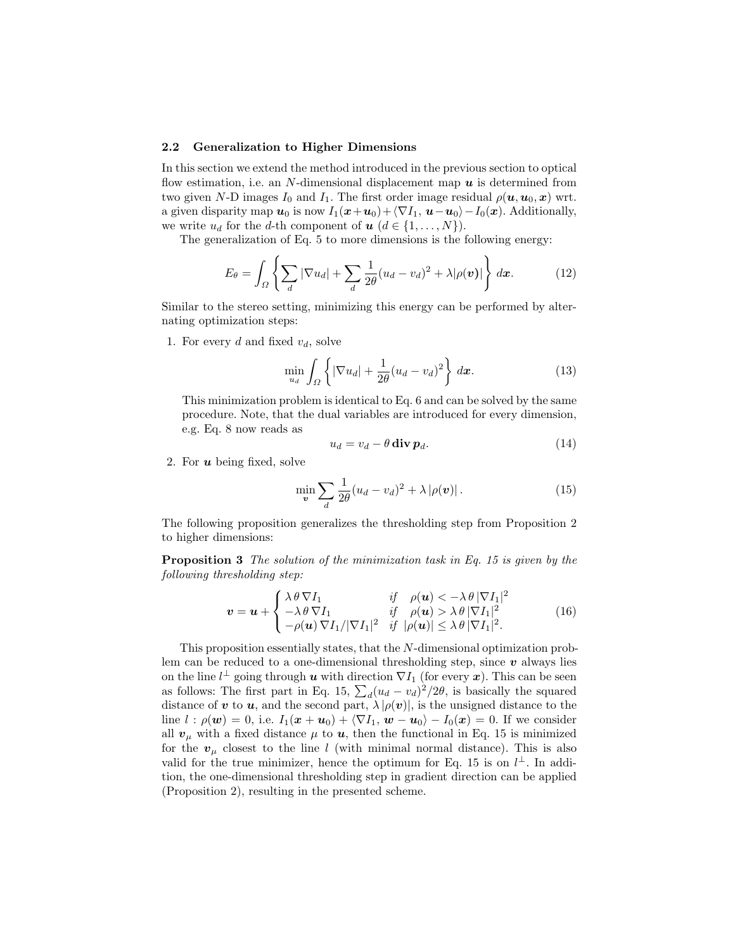#### 2.2 Generalization to Higher Dimensions

In this section we extend the method introduced in the previous section to optical flow estimation, i.e. an N-dimensional displacement map  $\boldsymbol{u}$  is determined from two given N-D images  $I_0$  and  $I_1$ . The first order image residual  $\rho(\boldsymbol{u}, \boldsymbol{u}_0, \boldsymbol{x})$  wrt. a given disparity map  $u_0$  is now  $I_1(x+u_0)+\langle \nabla I_1, u-u_0\rangle-I_0(x)$ . Additionally, we write  $u_d$  for the d-th component of  $u$   $(d \in \{1, ..., N\})$ .

The generalization of Eq. 5 to more dimensions is the following energy:

$$
E_{\theta} = \int_{\Omega} \left\{ \sum_{d} |\nabla u_{d}| + \sum_{d} \frac{1}{2\theta} (u_{d} - v_{d})^{2} + \lambda |\rho(\boldsymbol{v})| \right\} d\boldsymbol{x}.
$$
 (12)

Similar to the stereo setting, minimizing this energy can be performed by alternating optimization steps:

1. For every d and fixed  $v_d$ , solve

$$
\min_{u_d} \int_{\Omega} \left\{ |\nabla u_d| + \frac{1}{2\theta} (u_d - v_d)^2 \right\} dx.
$$
 (13)

This minimization problem is identical to Eq. 6 and can be solved by the same procedure. Note, that the dual variables are introduced for every dimension, e.g. Eq. 8 now reads as

$$
u_d = v_d - \theta \operatorname{div} \mathbf{p}_d. \tag{14}
$$

2. For  $u$  being fixed, solve

$$
\min_{\boldsymbol{v}} \sum_{d} \frac{1}{2\theta} (u_d - v_d)^2 + \lambda |\rho(\boldsymbol{v})| \,. \tag{15}
$$

The following proposition generalizes the thresholding step from Proposition 2 to higher dimensions:

Proposition 3 The solution of the minimization task in Eq. 15 is given by the following thresholding step:

$$
\mathbf{v} = \mathbf{u} + \begin{cases} \lambda \theta \nabla I_1 & \text{if } \rho(\mathbf{u}) < -\lambda \theta |\nabla I_1|^2 \\ -\lambda \theta \nabla I_1 & \text{if } \rho(\mathbf{u}) > \lambda \theta |\nabla I_1|^2 \\ -\rho(\mathbf{u}) \nabla I_1/|\nabla I_1|^2 & \text{if } |\rho(\mathbf{u})| \le \lambda \theta |\nabla I_1|^2. \end{cases}
$$
(16)

This proposition essentially states, that the N-dimensional optimization problem can be reduced to a one-dimensional thresholding step, since  $\boldsymbol{v}$  always lies on the line  $l^{\perp}$  going through  $u$  with direction  $\nabla I_1$  (for every  $x$ ). This can be seen as follows: The first part in Eq. 15,  $\sum_d (u_d - v_d)^2 / 2\theta$ , is basically the squared distance of v to u, and the second part,  $\lambda |\rho(v)|$ , is the unsigned distance to the line  $l : \rho(\boldsymbol{w}) = 0$ , i.e.  $I_1(\boldsymbol{x} + \boldsymbol{u}_0) + \langle \nabla I_1, \boldsymbol{w} - \boldsymbol{u}_0 \rangle - I_0(\boldsymbol{x}) = 0$ . If we consider all  $v_{\mu}$  with a fixed distance  $\mu$  to  $u$ , then the functional in Eq. 15 is minimized for the  $v_{\mu}$  closest to the line l (with minimal normal distance). This is also valid for the true minimizer, hence the optimum for Eq. 15 is on  $l^{\perp}$ . In addition, the one-dimensional thresholding step in gradient direction can be applied (Proposition 2), resulting in the presented scheme.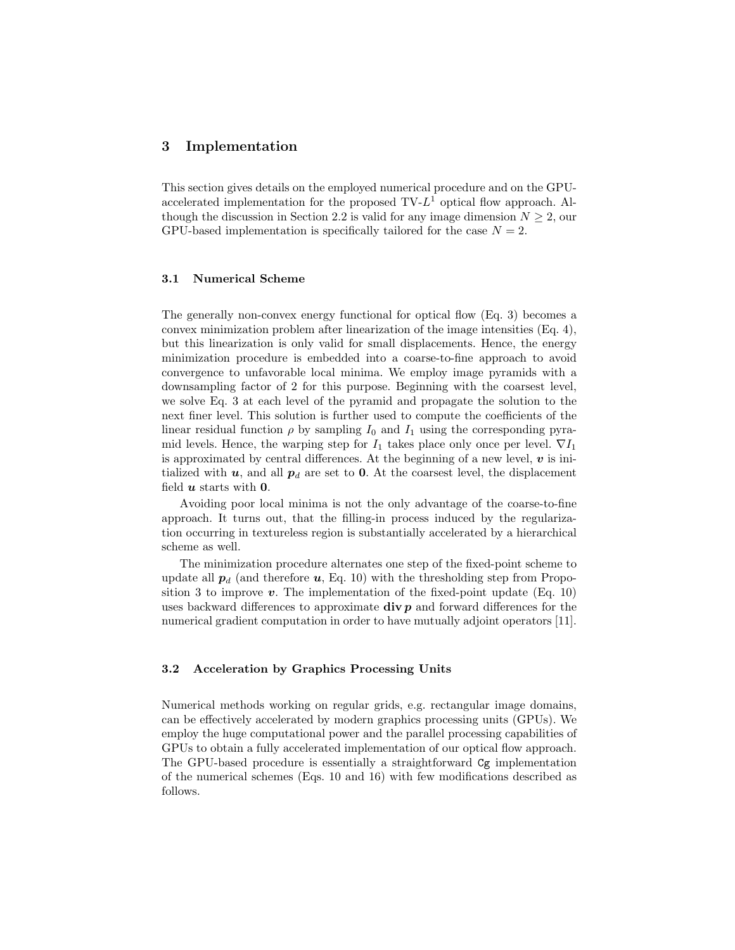# 3 Implementation

This section gives details on the employed numerical procedure and on the GPUaccelerated implementation for the proposed  $TV-L^1$  optical flow approach. Although the discussion in Section 2.2 is valid for any image dimension  $N \geq 2$ , our GPU-based implementation is specifically tailored for the case  $N = 2$ .

#### 3.1 Numerical Scheme

The generally non-convex energy functional for optical flow (Eq. 3) becomes a convex minimization problem after linearization of the image intensities (Eq. 4), but this linearization is only valid for small displacements. Hence, the energy minimization procedure is embedded into a coarse-to-fine approach to avoid convergence to unfavorable local minima. We employ image pyramids with a downsampling factor of 2 for this purpose. Beginning with the coarsest level, we solve Eq. 3 at each level of the pyramid and propagate the solution to the next finer level. This solution is further used to compute the coefficients of the linear residual function  $\rho$  by sampling  $I_0$  and  $I_1$  using the corresponding pyramid levels. Hence, the warping step for  $I_1$  takes place only once per level.  $\nabla I_1$ is approximated by central differences. At the beginning of a new level,  $\boldsymbol{v}$  is initialized with  $u$ , and all  $p_d$  are set to 0. At the coarsest level, the displacement field  $u$  starts with  $0$ .

Avoiding poor local minima is not the only advantage of the coarse-to-fine approach. It turns out, that the filling-in process induced by the regularization occurring in textureless region is substantially accelerated by a hierarchical scheme as well.

The minimization procedure alternates one step of the fixed-point scheme to update all  $p_d$  (and therefore  $u$ , Eq. 10) with the thresholding step from Proposition 3 to improve  $v$ . The implementation of the fixed-point update (Eq. 10) uses backward differences to approximate  $div p$  and forward differences for the numerical gradient computation in order to have mutually adjoint operators [11].

#### 3.2 Acceleration by Graphics Processing Units

Numerical methods working on regular grids, e.g. rectangular image domains, can be effectively accelerated by modern graphics processing units (GPUs). We employ the huge computational power and the parallel processing capabilities of GPUs to obtain a fully accelerated implementation of our optical flow approach. The GPU-based procedure is essentially a straightforward Cg implementation of the numerical schemes (Eqs. 10 and 16) with few modifications described as follows.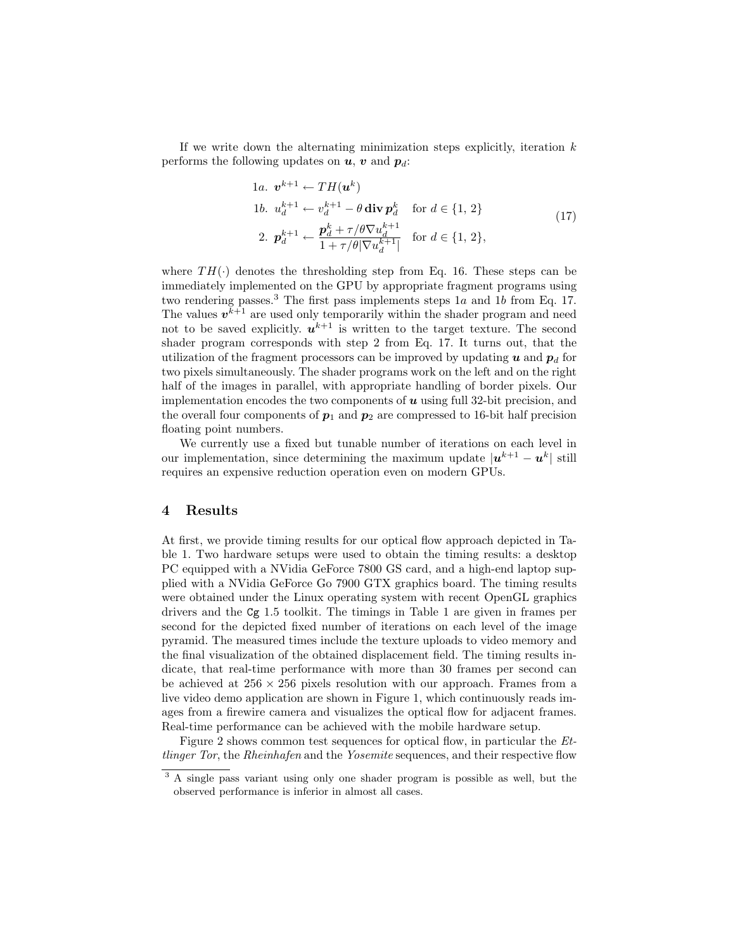If we write down the alternating minimization steps explicitly, iteration  $k$ performs the following updates on  $u, v$  and  $p_d$ :

1a. 
$$
\mathbf{v}^{k+1} \leftarrow TH(\mathbf{u}^k)
$$
  
\n1b. 
$$
u_d^{k+1} \leftarrow v_d^{k+1} - \theta \operatorname{div} \mathbf{p}_d^k \quad \text{for } d \in \{1, 2\}
$$
  
\n2. 
$$
\mathbf{p}_d^{k+1} \leftarrow \frac{\mathbf{p}_d^k + \tau/\theta \nabla u_d^{k+1}}{1 + \tau/\theta |\nabla u_d^{k+1}|} \quad \text{for } d \in \{1, 2\},
$$
\n(17)

where  $TH(\cdot)$  denotes the thresholding step from Eq. 16. These steps can be immediately implemented on the GPU by appropriate fragment programs using two rendering passes.<sup>3</sup> The first pass implements steps  $1a$  and  $1b$  from Eq. 17. The values  $v^{k+1}$  are used only temporarily within the shader program and need not to be saved explicitly.  $u^{k+1}$  is written to the target texture. The second shader program corresponds with step 2 from Eq. 17. It turns out, that the utilization of the fragment processors can be improved by updating u and  $p_d$  for two pixels simultaneously. The shader programs work on the left and on the right half of the images in parallel, with appropriate handling of border pixels. Our implementation encodes the two components of  $u$  using full 32-bit precision, and the overall four components of  $p_1$  and  $p_2$  are compressed to 16-bit half precision floating point numbers.

We currently use a fixed but tunable number of iterations on each level in our implementation, since determining the maximum update  $|u^{k+1} - u^k|$  still requires an expensive reduction operation even on modern GPUs.

### 4 Results

At first, we provide timing results for our optical flow approach depicted in Table 1. Two hardware setups were used to obtain the timing results: a desktop PC equipped with a NVidia GeForce 7800 GS card, and a high-end laptop supplied with a NVidia GeForce Go 7900 GTX graphics board. The timing results were obtained under the Linux operating system with recent OpenGL graphics drivers and the Cg 1.5 toolkit. The timings in Table 1 are given in frames per second for the depicted fixed number of iterations on each level of the image pyramid. The measured times include the texture uploads to video memory and the final visualization of the obtained displacement field. The timing results indicate, that real-time performance with more than 30 frames per second can be achieved at  $256 \times 256$  pixels resolution with our approach. Frames from a live video demo application are shown in Figure 1, which continuously reads images from a firewire camera and visualizes the optical flow for adjacent frames. Real-time performance can be achieved with the mobile hardware setup.

Figure 2 shows common test sequences for optical flow, in particular the Ettlinger Tor, the Rheinhafen and the Yosemite sequences, and their respective flow

<sup>&</sup>lt;sup>3</sup> A single pass variant using only one shader program is possible as well, but the observed performance is inferior in almost all cases.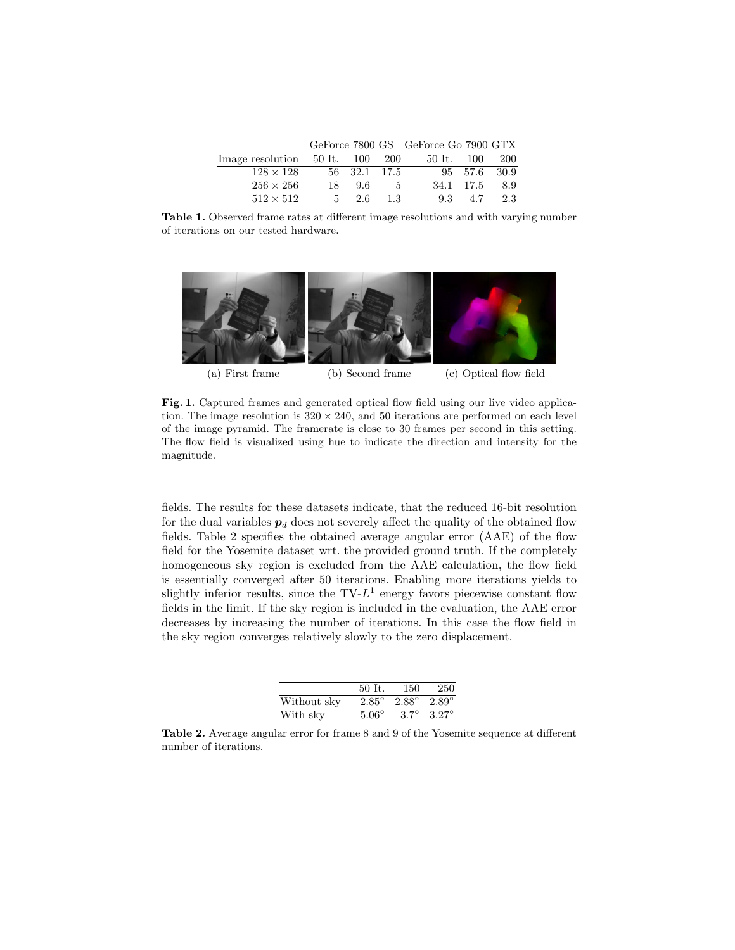|                                       |     |              |     | GeForce 7800 GS GeForce Go 7900 GTX |              |            |
|---------------------------------------|-----|--------------|-----|-------------------------------------|--------------|------------|
| Image resolution $50$ It. $100$ $200$ |     |              |     | 50 It. 100                          |              | <b>200</b> |
| $128 \times 128$                      |     | 56 32.1 17.5 |     |                                     | 95 57.6 30.9 |            |
| $256 \times 256$                      | 18. | 9.6          | 5   |                                     | 34.1 17.5    | 8.9        |
| $512 \times 512$                      | 5.  | 2.6          | 1.3 | 9.3                                 | 4.7          | 2.3        |

Table 1. Observed frame rates at different image resolutions and with varying number of iterations on our tested hardware.



(a) First frame (b) Second frame (c) Optical flow field

Fig. 1. Captured frames and generated optical flow field using our live video application. The image resolution is  $320 \times 240$ , and 50 iterations are performed on each level of the image pyramid. The framerate is close to 30 frames per second in this setting. The flow field is visualized using hue to indicate the direction and intensity for the magnitude.

fields. The results for these datasets indicate, that the reduced 16-bit resolution for the dual variables  $p_d$  does not severely affect the quality of the obtained flow fields. Table 2 specifies the obtained average angular error (AAE) of the flow field for the Yosemite dataset wrt. the provided ground truth. If the completely homogeneous sky region is excluded from the AAE calculation, the flow field is essentially converged after 50 iterations. Enabling more iterations yields to slightly inferior results, since the  $TV-L^1$  energy favors piecewise constant flow fields in the limit. If the sky region is included in the evaluation, the AAE error decreases by increasing the number of iterations. In this case the flow field in the sky region converges relatively slowly to the zero displacement.

|             | 50 It.         | 150            | -250         |
|-------------|----------------|----------------|--------------|
| Without sky | $2.85^{\circ}$ | $2.88^{\circ}$ | $2.89^\circ$ |
| With sky    | $5.06^{\circ}$ | $3.7^\circ$    | $3.27^\circ$ |

Table 2. Average angular error for frame 8 and 9 of the Yosemite sequence at different number of iterations.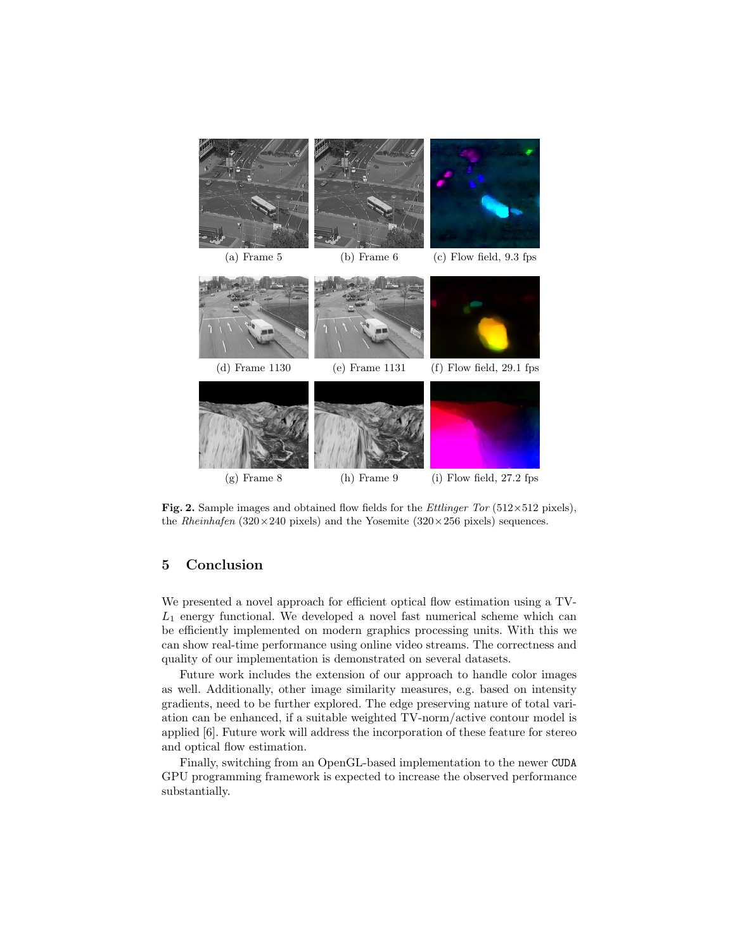

Fig. 2. Sample images and obtained flow fields for the *Ettlinger Tor* (512×512 pixels), the Rheinhafen  $(320 \times 240 \text{ pixels})$  and the Yosemite  $(320 \times 256 \text{ pixels})$  sequences.

# 5 Conclusion

We presented a novel approach for efficient optical flow estimation using a TV- $L_1$  energy functional. We developed a novel fast numerical scheme which can be efficiently implemented on modern graphics processing units. With this we can show real-time performance using online video streams. The correctness and quality of our implementation is demonstrated on several datasets.

Future work includes the extension of our approach to handle color images as well. Additionally, other image similarity measures, e.g. based on intensity gradients, need to be further explored. The edge preserving nature of total variation can be enhanced, if a suitable weighted TV-norm/active contour model is applied [6]. Future work will address the incorporation of these feature for stereo and optical flow estimation.

Finally, switching from an OpenGL-based implementation to the newer CUDA GPU programming framework is expected to increase the observed performance substantially.